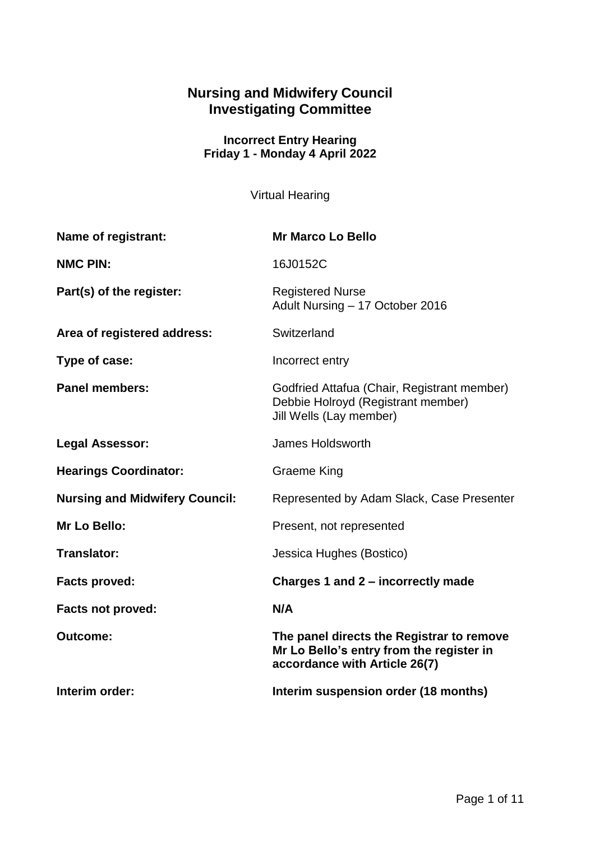# **Nursing and Midwifery Council Investigating Committee**

### **Incorrect Entry Hearing Friday 1 - Monday 4 April 2022**

Virtual Hearing

| Name of registrant:                   | <b>Mr Marco Lo Bello</b>                                                                                               |
|---------------------------------------|------------------------------------------------------------------------------------------------------------------------|
| <b>NMC PIN:</b>                       | 16J0152C                                                                                                               |
| Part(s) of the register:              | <b>Registered Nurse</b><br>Adult Nursing - 17 October 2016                                                             |
| Area of registered address:           | Switzerland                                                                                                            |
| Type of case:                         | Incorrect entry                                                                                                        |
| <b>Panel members:</b>                 | Godfried Attafua (Chair, Registrant member)<br>Debbie Holroyd (Registrant member)<br>Jill Wells (Lay member)           |
| <b>Legal Assessor:</b>                | James Holdsworth                                                                                                       |
| <b>Hearings Coordinator:</b>          | <b>Graeme King</b>                                                                                                     |
| <b>Nursing and Midwifery Council:</b> | Represented by Adam Slack, Case Presenter                                                                              |
| Mr Lo Bello:                          | Present, not represented                                                                                               |
| <b>Translator:</b>                    | Jessica Hughes (Bostico)                                                                                               |
| <b>Facts proved:</b>                  | Charges 1 and 2 – incorrectly made                                                                                     |
| <b>Facts not proved:</b>              | N/A                                                                                                                    |
| <b>Outcome:</b>                       | The panel directs the Registrar to remove<br>Mr Lo Bello's entry from the register in<br>accordance with Article 26(7) |
| Interim order:                        | Interim suspension order (18 months)                                                                                   |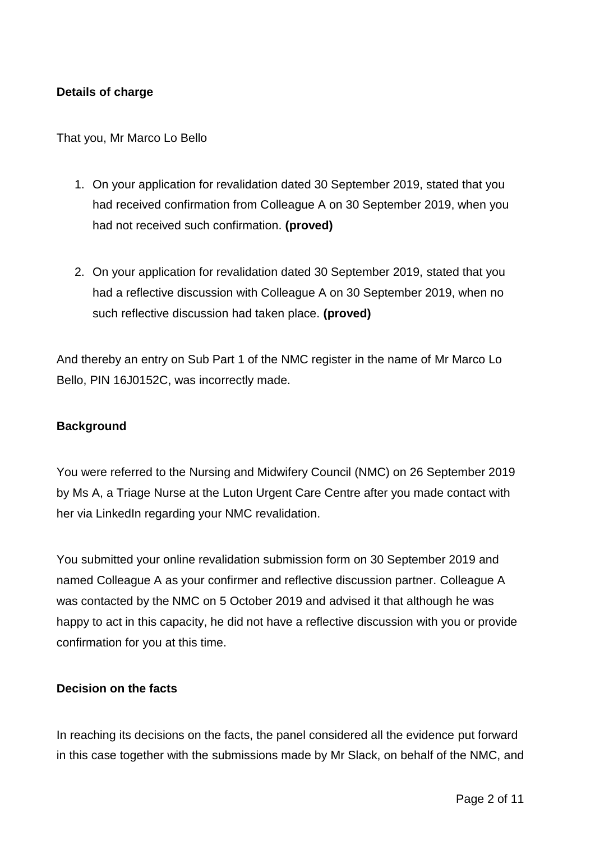### **Details of charge**

That you, Mr Marco Lo Bello

- 1. On your application for revalidation dated 30 September 2019, stated that you had received confirmation from Colleague A on 30 September 2019, when you had not received such confirmation. **(proved)**
- 2. On your application for revalidation dated 30 September 2019, stated that you had a reflective discussion with Colleague A on 30 September 2019, when no such reflective discussion had taken place. **(proved)**

And thereby an entry on Sub Part 1 of the NMC register in the name of Mr Marco Lo Bello, PIN 16J0152C, was incorrectly made.

### **Background**

You were referred to the Nursing and Midwifery Council (NMC) on 26 September 2019 by Ms A, a Triage Nurse at the Luton Urgent Care Centre after you made contact with her via LinkedIn regarding your NMC revalidation.

You submitted your online revalidation submission form on 30 September 2019 and named Colleague A as your confirmer and reflective discussion partner. Colleague A was contacted by the NMC on 5 October 2019 and advised it that although he was happy to act in this capacity, he did not have a reflective discussion with you or provide confirmation for you at this time.

#### **Decision on the facts**

In reaching its decisions on the facts, the panel considered all the evidence put forward in this case together with the submissions made by Mr Slack, on behalf of the NMC, and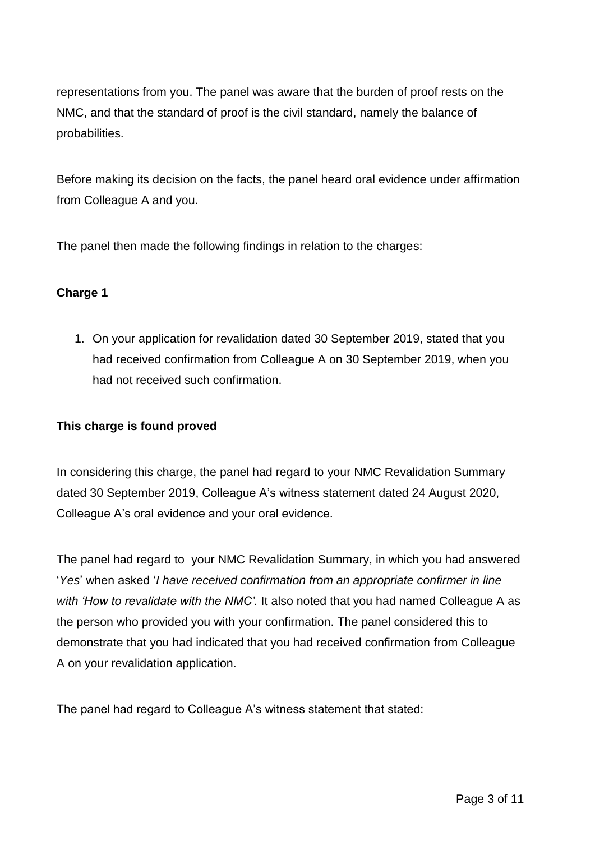representations from you. The panel was aware that the burden of proof rests on the NMC, and that the standard of proof is the civil standard, namely the balance of probabilities.

Before making its decision on the facts, the panel heard oral evidence under affirmation from Colleague A and you.

The panel then made the following findings in relation to the charges:

## **Charge 1**

1. On your application for revalidation dated 30 September 2019, stated that you had received confirmation from Colleague A on 30 September 2019, when you had not received such confirmation.

## **This charge is found proved**

In considering this charge, the panel had regard to your NMC Revalidation Summary dated 30 September 2019, Colleague A's witness statement dated 24 August 2020, Colleague A's oral evidence and your oral evidence.

The panel had regard to your NMC Revalidation Summary, in which you had answered '*Yes*' when asked '*I have received confirmation from an appropriate confirmer in line with 'How to revalidate with the NMC'.* It also noted that you had named Colleague A as the person who provided you with your confirmation. The panel considered this to demonstrate that you had indicated that you had received confirmation from Colleague A on your revalidation application.

The panel had regard to Colleague A's witness statement that stated: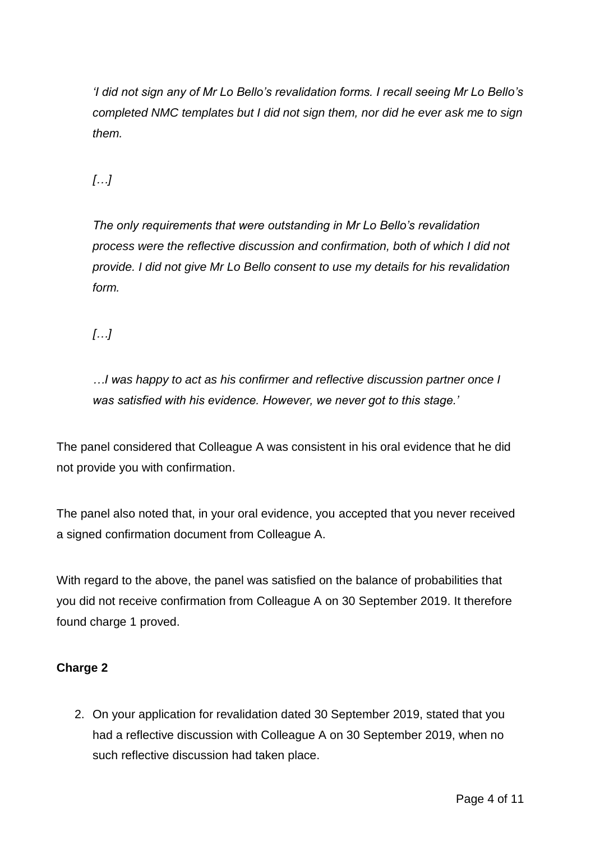*'I did not sign any of Mr Lo Bello's revalidation forms. I recall seeing Mr Lo Bello's completed NMC templates but I did not sign them, nor did he ever ask me to sign them.*

*[…]*

*The only requirements that were outstanding in Mr Lo Bello's revalidation process were the reflective discussion and confirmation, both of which I did not provide. I did not give Mr Lo Bello consent to use my details for his revalidation form.*

*[…]*

*…I was happy to act as his confirmer and reflective discussion partner once I was satisfied with his evidence. However, we never got to this stage.'*

The panel considered that Colleague A was consistent in his oral evidence that he did not provide you with confirmation.

The panel also noted that, in your oral evidence, you accepted that you never received a signed confirmation document from Colleague A.

With regard to the above, the panel was satisfied on the balance of probabilities that you did not receive confirmation from Colleague A on 30 September 2019. It therefore found charge 1 proved.

## **Charge 2**

2. On your application for revalidation dated 30 September 2019, stated that you had a reflective discussion with Colleague A on 30 September 2019, when no such reflective discussion had taken place.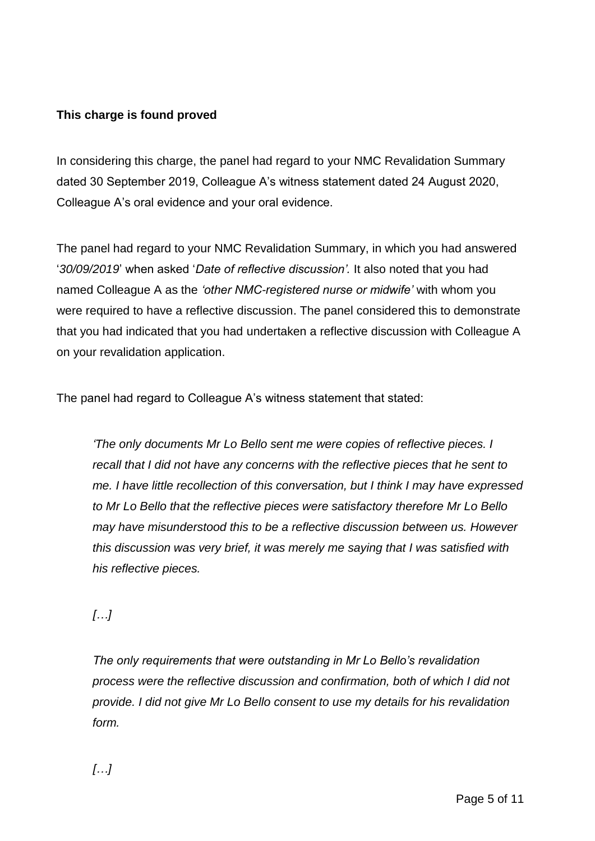## **This charge is found proved**

In considering this charge, the panel had regard to your NMC Revalidation Summary dated 30 September 2019, Colleague A's witness statement dated 24 August 2020, Colleague A's oral evidence and your oral evidence.

The panel had regard to your NMC Revalidation Summary, in which you had answered '*30/09/2019*' when asked '*Date of reflective discussion'.* It also noted that you had named Colleague A as the *'other NMC-registered nurse or midwife'* with whom you were required to have a reflective discussion. The panel considered this to demonstrate that you had indicated that you had undertaken a reflective discussion with Colleague A on your revalidation application.

The panel had regard to Colleague A's witness statement that stated:

*'The only documents Mr Lo Bello sent me were copies of reflective pieces. I recall that I did not have any concerns with the reflective pieces that he sent to me. I have little recollection of this conversation, but I think I may have expressed to Mr Lo Bello that the reflective pieces were satisfactory therefore Mr Lo Bello may have misunderstood this to be a reflective discussion between us. However this discussion was very brief, it was merely me saying that I was satisfied with his reflective pieces.*

*[…]*

*The only requirements that were outstanding in Mr Lo Bello's revalidation process were the reflective discussion and confirmation, both of which I did not provide. I did not give Mr Lo Bello consent to use my details for his revalidation form.*

*[…]*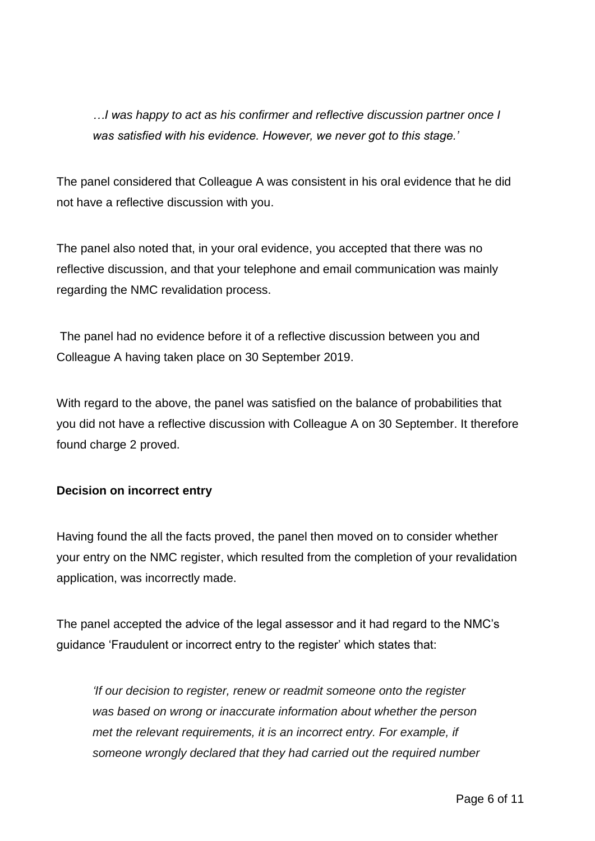*…I was happy to act as his confirmer and reflective discussion partner once I was satisfied with his evidence. However, we never got to this stage.'*

The panel considered that Colleague A was consistent in his oral evidence that he did not have a reflective discussion with you.

The panel also noted that, in your oral evidence, you accepted that there was no reflective discussion, and that your telephone and email communication was mainly regarding the NMC revalidation process.

The panel had no evidence before it of a reflective discussion between you and Colleague A having taken place on 30 September 2019.

With regard to the above, the panel was satisfied on the balance of probabilities that you did not have a reflective discussion with Colleague A on 30 September. It therefore found charge 2 proved.

## **Decision on incorrect entry**

Having found the all the facts proved, the panel then moved on to consider whether your entry on the NMC register, which resulted from the completion of your revalidation application, was incorrectly made.

The panel accepted the advice of the legal assessor and it had regard to the NMC's guidance 'Fraudulent or incorrect entry to the register' which states that:

*'If our decision to register, renew or readmit someone onto the register was based on wrong or inaccurate information about whether the person met the relevant requirements, it is an incorrect entry. For example, if someone wrongly declared that they had carried out the required number*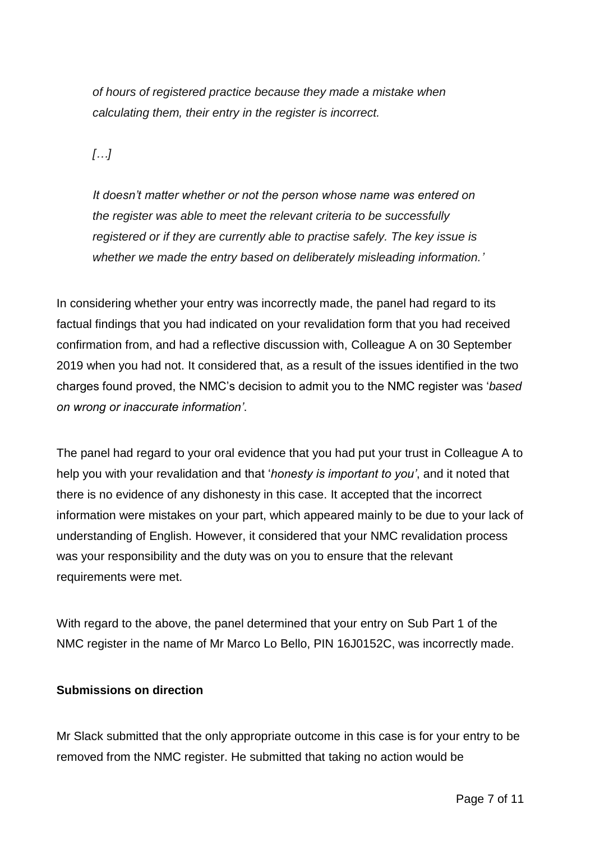*of hours of registered practice because they made a mistake when calculating them, their entry in the register is incorrect.*

*[…]*

*It doesn't matter whether or not the person whose name was entered on the register was able to meet the relevant criteria to be successfully registered or if they are currently able to practise safely. The key issue is whether we made the entry based on deliberately misleading information.'*

In considering whether your entry was incorrectly made, the panel had regard to its factual findings that you had indicated on your revalidation form that you had received confirmation from, and had a reflective discussion with, Colleague A on 30 September 2019 when you had not. It considered that, as a result of the issues identified in the two charges found proved, the NMC's decision to admit you to the NMC register was '*based on wrong or inaccurate information'*.

The panel had regard to your oral evidence that you had put your trust in Colleague A to help you with your revalidation and that '*honesty is important to you'*, and it noted that there is no evidence of any dishonesty in this case. It accepted that the incorrect information were mistakes on your part, which appeared mainly to be due to your lack of understanding of English. However, it considered that your NMC revalidation process was your responsibility and the duty was on you to ensure that the relevant requirements were met.

With regard to the above, the panel determined that your entry on Sub Part 1 of the NMC register in the name of Mr Marco Lo Bello, PIN 16J0152C, was incorrectly made.

### **Submissions on direction**

Mr Slack submitted that the only appropriate outcome in this case is for your entry to be removed from the NMC register. He submitted that taking no action would be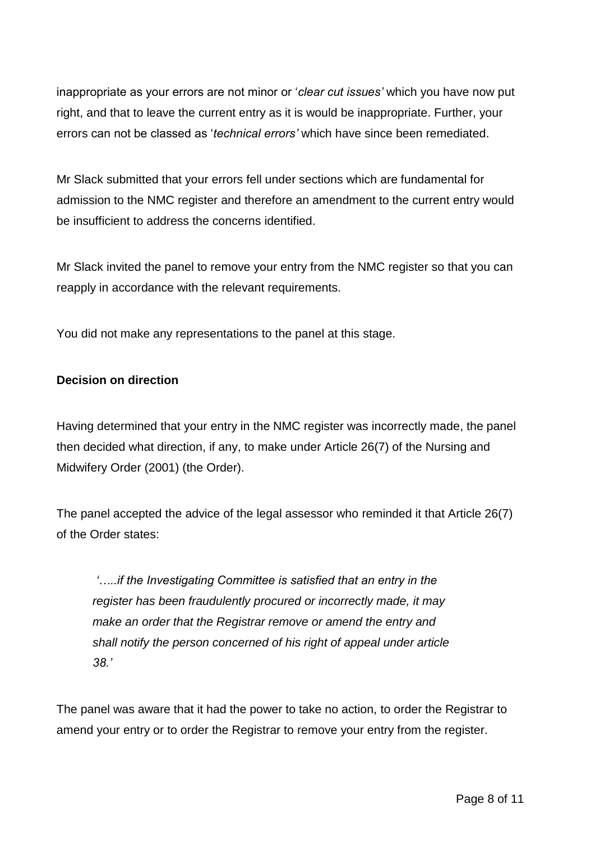inappropriate as your errors are not minor or '*clear cut issues'* which you have now put right, and that to leave the current entry as it is would be inappropriate. Further, your errors can not be classed as '*technical errors'* which have since been remediated.

Mr Slack submitted that your errors fell under sections which are fundamental for admission to the NMC register and therefore an amendment to the current entry would be insufficient to address the concerns identified.

Mr Slack invited the panel to remove your entry from the NMC register so that you can reapply in accordance with the relevant requirements.

You did not make any representations to the panel at this stage.

## **Decision on direction**

Having determined that your entry in the NMC register was incorrectly made, the panel then decided what direction, if any, to make under Article 26(7) of the Nursing and Midwifery Order (2001) (the Order).

The panel accepted the advice of the legal assessor who reminded it that Article 26(7) of the Order states:

*'…..if the Investigating Committee is satisfied that an entry in the register has been fraudulently procured or incorrectly made, it may make an order that the Registrar remove or amend the entry and shall notify the person concerned of his right of appeal under article 38.'*

The panel was aware that it had the power to take no action, to order the Registrar to amend your entry or to order the Registrar to remove your entry from the register.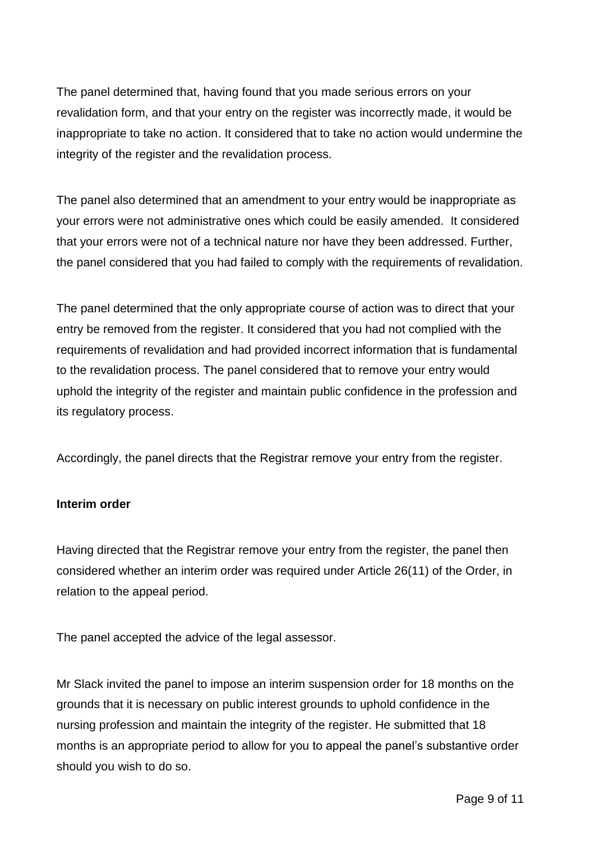The panel determined that, having found that you made serious errors on your revalidation form, and that your entry on the register was incorrectly made, it would be inappropriate to take no action. It considered that to take no action would undermine the integrity of the register and the revalidation process.

The panel also determined that an amendment to your entry would be inappropriate as your errors were not administrative ones which could be easily amended. It considered that your errors were not of a technical nature nor have they been addressed. Further, the panel considered that you had failed to comply with the requirements of revalidation.

The panel determined that the only appropriate course of action was to direct that your entry be removed from the register. It considered that you had not complied with the requirements of revalidation and had provided incorrect information that is fundamental to the revalidation process. The panel considered that to remove your entry would uphold the integrity of the register and maintain public confidence in the profession and its regulatory process.

Accordingly, the panel directs that the Registrar remove your entry from the register.

## **Interim order**

Having directed that the Registrar remove your entry from the register, the panel then considered whether an interim order was required under Article 26(11) of the Order, in relation to the appeal period.

The panel accepted the advice of the legal assessor.

Mr Slack invited the panel to impose an interim suspension order for 18 months on the grounds that it is necessary on public interest grounds to uphold confidence in the nursing profession and maintain the integrity of the register. He submitted that 18 months is an appropriate period to allow for you to appeal the panel's substantive order should you wish to do so.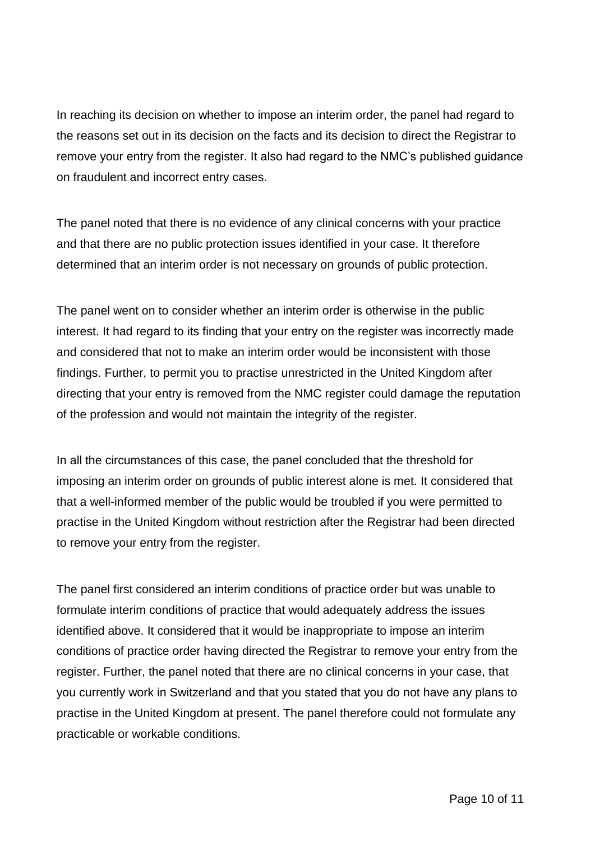In reaching its decision on whether to impose an interim order, the panel had regard to the reasons set out in its decision on the facts and its decision to direct the Registrar to remove your entry from the register. It also had regard to the NMC's published guidance on fraudulent and incorrect entry cases.

The panel noted that there is no evidence of any clinical concerns with your practice and that there are no public protection issues identified in your case. It therefore determined that an interim order is not necessary on grounds of public protection.

The panel went on to consider whether an interim order is otherwise in the public interest. It had regard to its finding that your entry on the register was incorrectly made and considered that not to make an interim order would be inconsistent with those findings. Further, to permit you to practise unrestricted in the United Kingdom after directing that your entry is removed from the NMC register could damage the reputation of the profession and would not maintain the integrity of the register.

In all the circumstances of this case, the panel concluded that the threshold for imposing an interim order on grounds of public interest alone is met. It considered that that a well-informed member of the public would be troubled if you were permitted to practise in the United Kingdom without restriction after the Registrar had been directed to remove your entry from the register.

The panel first considered an interim conditions of practice order but was unable to formulate interim conditions of practice that would adequately address the issues identified above. It considered that it would be inappropriate to impose an interim conditions of practice order having directed the Registrar to remove your entry from the register. Further, the panel noted that there are no clinical concerns in your case, that you currently work in Switzerland and that you stated that you do not have any plans to practise in the United Kingdom at present. The panel therefore could not formulate any practicable or workable conditions.